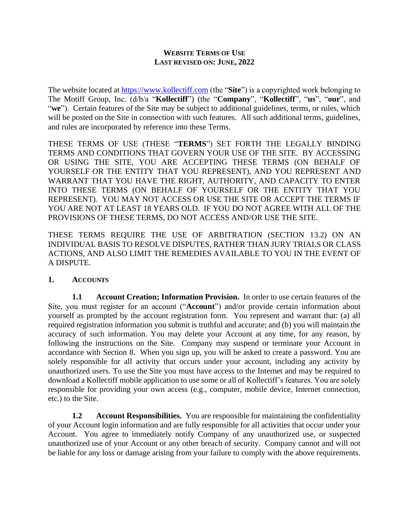#### **WEBSITE TERMS OF USE LAST REVISED ON: JUNE, 2022**

The website located at [https://www.kollectiff.com](https://www.kollectiff.com/) (the "**Site**") is a copyrighted work belonging to The Motiff Group, Inc. (d/b/a "**Kollectiff**") (the "**Company**", "**Kollectiff**", "**us**", "**our**", and "**we**"). Certain features of the Site may be subject to additional guidelines, terms, or rules, which will be posted on the Site in connection with such features. All such additional terms, guidelines, and rules are incorporated by reference into these Terms.

THESE TERMS OF USE (THESE "**TERMS**") SET FORTH THE LEGALLY BINDING TERMS AND CONDITIONS THAT GOVERN YOUR USE OF THE SITE. BY ACCESSING OR USING THE SITE, YOU ARE ACCEPTING THESE TERMS (ON BEHALF OF YOURSELF OR THE ENTITY THAT YOU REPRESENT), AND YOU REPRESENT AND WARRANT THAT YOU HAVE THE RIGHT, AUTHORITY, AND CAPACITY TO ENTER INTO THESE TERMS (ON BEHALF OF YOURSELF OR THE ENTITY THAT YOU REPRESENT). YOU MAY NOT ACCESS OR USE THE SITE OR ACCEPT THE TERMS IF YOU ARE NOT AT LEAST 18 YEARS OLD. IF YOU DO NOT AGREE WITH ALL OF THE PROVISIONS OF THESE TERMS, DO NOT ACCESS AND/OR USE THE SITE.

THESE TERMS REQUIRE THE USE OF ARBITRATION (SECTION 13.2) ON AN INDIVIDUAL BASIS TO RESOLVE DISPUTES, RATHER THAN JURY TRIALS OR CLASS ACTIONS, AND ALSO LIMIT THE REMEDIES AVAILABLE TO YOU IN THE EVENT OF A DISPUTE.

#### **1. ACCOUNTS**

**1.1 Account Creation; Information Provision.** In order to use certain features of the Site, you must register for an account ("**Account**") and/or provide certain information about yourself as prompted by the account registration form. You represent and warrant that: (a) all required registration information you submit is truthful and accurate; and (b) you will maintain the accuracy of such information. You may delete your Account at any time, for any reason, by following the instructions on the Site. Company may suspend or terminate your Account in accordance with Section 8. When you sign up, you will be asked to create a password. You are solely responsible for all activity that occurs under your account, including any activity by unauthorized users. To use the Site you must have access to the Internet and may be required to download a Kollectiff mobile application to use some or all of Kollectiff's features. You are solely responsible for providing your own access (e.g., computer, mobile device, Internet connection, etc.) to the Site.

**1.2 Account Responsibilities.** You are responsible for maintaining the confidentiality of your Account login information and are fully responsible for all activities that occur under your Account. You agree to immediately notify Company of any unauthorized use, or suspected unauthorized use of your Account or any other breach of security. Company cannot and will not be liable for any loss or damage arising from your failure to comply with the above requirements.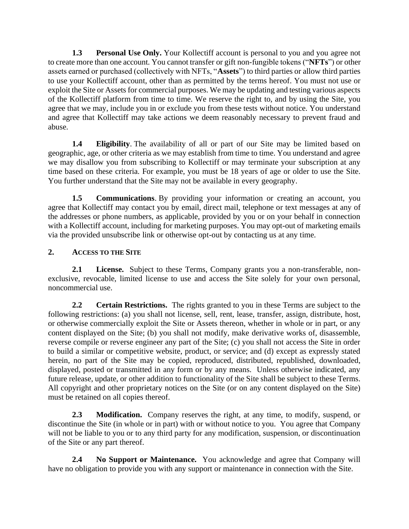**1.3 Personal Use Only.** Your Kollectiff account is personal to you and you agree not to create more than one account. You cannot transfer or gift non-fungible tokens ("**NFTs**") or other assets earned or purchased (collectively with NFTs, "**Assets**") to third parties or allow third parties to use your Kollectiff account, other than as permitted by the terms hereof. You must not use or exploit the Site or Assets for commercial purposes. We may be updating and testing various aspects of the Kollectiff platform from time to time. We reserve the right to, and by using the Site, you agree that we may, include you in or exclude you from these tests without notice. You understand and agree that Kollectiff may take actions we deem reasonably necessary to prevent fraud and abuse.

**1.4 Eligibility**. The availability of all or part of our Site may be limited based on geographic, age, or other criteria as we may establish from time to time. You understand and agree we may disallow you from subscribing to Kollectiff or may terminate your subscription at any time based on these criteria. For example, you must be 18 years of age or older to use the Site. You further understand that the Site may not be available in every geography.

**1.5 Communications**. By providing your information or creating an account, you agree that Kollectiff may contact you by email, direct mail, telephone or text messages at any of the addresses or phone numbers, as applicable, provided by you or on your behalf in connection with a Kollectiff account, including for marketing purposes. You may opt-out of marketing emails via the provided unsubscribe link or otherwise opt-out by contacting us at any time.

### **2. ACCESS TO THE SITE**

<span id="page-1-0"></span>**2.1 License.** Subject to these Terms, Company grants you a non-transferable, nonexclusive, revocable, limited license to use and access the Site solely for your own personal, noncommercial use.

<span id="page-1-1"></span>**2.2 Certain Restrictions.** The rights granted to you in these Terms are subject to the following restrictions: (a) you shall not license, sell, rent, lease, transfer, assign, distribute, host, or otherwise commercially exploit the Site or Assets thereon, whether in whole or in part, or any content displayed on the Site; (b) you shall not modify, make derivative works of, disassemble, reverse compile or reverse engineer any part of the Site; (c) you shall not access the Site in order to build a similar or competitive website, product, or service; and (d) except as expressly stated herein, no part of the Site may be copied, reproduced, distributed, republished, downloaded, displayed, posted or transmitted in any form or by any means. Unless otherwise indicated, any future release, update, or other addition to functionality of the Site shall be subject to these Terms. All copyright and other proprietary notices on the Site (or on any content displayed on the Site) must be retained on all copies thereof.

**2.3 Modification.** Company reserves the right, at any time, to modify, suspend, or discontinue the Site (in whole or in part) with or without notice to you. You agree that Company will not be liable to you or to any third party for any modification, suspension, or discontinuation of the Site or any part thereof.

**2.4 No Support or Maintenance.** You acknowledge and agree that Company will have no obligation to provide you with any support or maintenance in connection with the Site.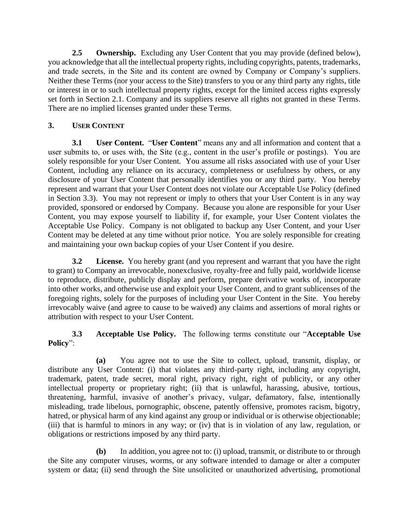<span id="page-2-1"></span>**2.5 Ownership.** Excluding any User Content that you may provide (defined below), you acknowledge that all the intellectual property rights, including copyrights, patents, trademarks, and trade secrets, in the Site and its content are owned by Company or Company's suppliers. Neither these Terms (nor your access to the Site) transfers to you or any third party any rights, title or interest in or to such intellectual property rights, except for the limited access rights expressly set forth in Section [2.1.](#page-1-0) Company and its suppliers reserve all rights not granted in these Terms. There are no implied licenses granted under these Terms.

# **3. USER CONTENT**

**3.1 User Content.** "**User Content**" means any and all information and content that a user submits to, or uses with, the Site (e.g., content in the user's profile or postings). You are solely responsible for your User Content. You assume all risks associated with use of your User Content, including any reliance on its accuracy, completeness or usefulness by others, or any disclosure of your User Content that personally identifies you or any third party. You hereby represent and warrant that your User Content does not violate our Acceptable Use Policy (defined in Section [3.3\)](#page-2-0). You may not represent or imply to others that your User Content is in any way provided, sponsored or endorsed by Company. Because you alone are responsible for your User Content, you may expose yourself to liability if, for example, your User Content violates the Acceptable Use Policy. Company is not obligated to backup any User Content, and your User Content may be deleted at any time without prior notice. You are solely responsible for creating and maintaining your own backup copies of your User Content if you desire.

**3.2 License.** You hereby grant (and you represent and warrant that you have the right to grant) to Company an irrevocable, nonexclusive, royalty-free and fully paid, worldwide license to reproduce, distribute, publicly display and perform, prepare derivative works of, incorporate into other works, and otherwise use and exploit your User Content, and to grant sublicenses of the foregoing rights, solely for the purposes of including your User Content in the Site. You hereby irrevocably waive (and agree to cause to be waived) any claims and assertions of moral rights or attribution with respect to your User Content.

<span id="page-2-0"></span>**3.3 Acceptable Use Policy.** The following terms constitute our "**Acceptable Use Policy**":

**(a)** You agree not to use the Site to collect, upload, transmit, display, or distribute any User Content: (i) that violates any third-party right, including any copyright, trademark, patent, trade secret, moral right, privacy right, right of publicity, or any other intellectual property or proprietary right; (ii) that is unlawful, harassing, abusive, tortious, threatening, harmful, invasive of another's privacy, vulgar, defamatory, false, intentionally misleading, trade libelous, pornographic, obscene, patently offensive, promotes racism, bigotry, hatred, or physical harm of any kind against any group or individual or is otherwise objectionable; (iii) that is harmful to minors in any way; or (iv) that is in violation of any law, regulation, or obligations or restrictions imposed by any third party.

**(b)** In addition, you agree not to: (i) upload, transmit, or distribute to or through the Site any computer viruses, worms, or any software intended to damage or alter a computer system or data; (ii) send through the Site unsolicited or unauthorized advertising, promotional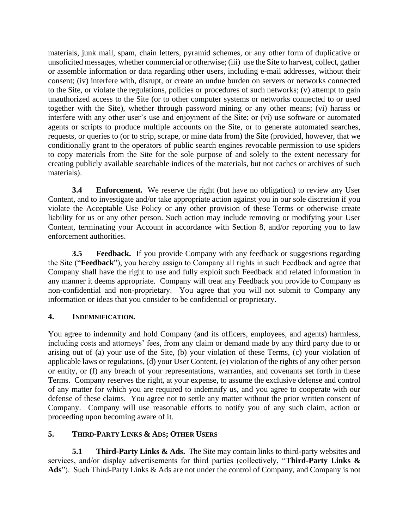materials, junk mail, spam, chain letters, pyramid schemes, or any other form of duplicative or unsolicited messages, whether commercial or otherwise; (iii) use the Site to harvest, collect, gather or assemble information or data regarding other users, including e-mail addresses, without their consent; (iv) interfere with, disrupt, or create an undue burden on servers or networks connected to the Site, or violate the regulations, policies or procedures of such networks; (v) attempt to gain unauthorized access to the Site (or to other computer systems or networks connected to or used together with the Site), whether through password mining or any other means; (vi) harass or interfere with any other user's use and enjoyment of the Site; or (vi) use software or automated agents or scripts to produce multiple accounts on the Site, or to generate automated searches, requests, or queries to (or to strip, scrape, or mine data from) the Site (provided, however, that we conditionally grant to the operators of public search engines revocable permission to use spiders to copy materials from the Site for the sole purpose of and solely to the extent necessary for creating publicly available searchable indices of the materials, but not caches or archives of such materials).

**3.4 Enforcement.** We reserve the right (but have no obligation) to review any User Content, and to investigate and/or take appropriate action against you in our sole discretion if you violate the Acceptable Use Policy or any other provision of these Terms or otherwise create liability for us or any other person. Such action may include removing or modifying your User Content, terminating your Account in accordance with Section [8,](#page-5-0) and/or reporting you to law enforcement authorities.

**3.5 Feedback.** If you provide Company with any feedback or suggestions regarding the Site ("**Feedback**"), you hereby assign to Company all rights in such Feedback and agree that Company shall have the right to use and fully exploit such Feedback and related information in any manner it deems appropriate. Company will treat any Feedback you provide to Company as non-confidential and non-proprietary. You agree that you will not submit to Company any information or ideas that you consider to be confidential or proprietary.

### **4. INDEMNIFICATION.**

You agree to indemnify and hold Company (and its officers, employees, and agents) harmless, including costs and attorneys' fees, from any claim or demand made by any third party due to or arising out of (a) your use of the Site, (b) your violation of these Terms, (c) your violation of applicable laws or regulations, (d) your User Content, (e) violation of the rights of any other person or entity, or (f) any breach of your representations, warranties, and covenants set forth in these Terms. Company reserves the right, at your expense, to assume the exclusive defense and control of any matter for which you are required to indemnify us, and you agree to cooperate with our defense of these claims. You agree not to settle any matter without the prior written consent of Company. Company will use reasonable efforts to notify you of any such claim, action or proceeding upon becoming aware of it.

## **5. THIRD-PARTY LINKS & ADS; OTHER USERS**

**5.1 Third-Party Links & Ads.** The Site may contain links to third-party websites and services, and/or display advertisements for third parties (collectively, "**Third-Party Links & Ads**"). Such Third-Party Links & Ads are not under the control of Company, and Company is not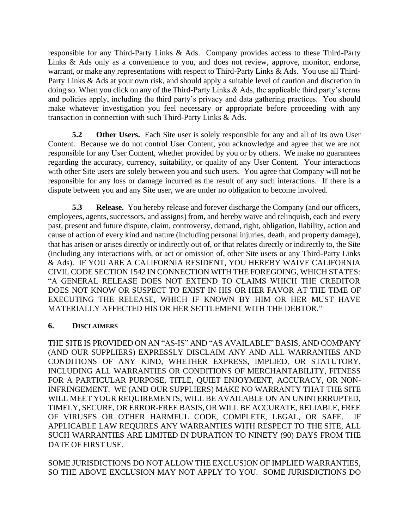responsible for any Third-Party Links & Ads. Company provides access to these Third-Party Links & Ads only as a convenience to you, and does not review, approve, monitor, endorse, warrant, or make any representations with respect to Third-Party Links & Ads. You use all Third-Party Links & Ads at your own risk, and should apply a suitable level of caution and discretion in doing so. When you click on any of the Third-Party Links & Ads, the applicable third party's terms and policies apply, including the third party's privacy and data gathering practices. You should make whatever investigation you feel necessary or appropriate before proceeding with any transaction in connection with such Third-Party Links & Ads.

**5.2 Other Users.** Each Site user is solely responsible for any and all of its own User Content. Because we do not control User Content, you acknowledge and agree that we are not responsible for any User Content, whether provided by you or by others. We make no guarantees regarding the accuracy, currency, suitability, or quality of any User Content. Your interactions with other Site users are solely between you and such users. You agree that Company will not be responsible for any loss or damage incurred as the result of any such interactions. If there is a dispute between you and any Site user, we are under no obligation to become involved.

**5.3 Release.** You hereby release and forever discharge the Company (and our officers, employees, agents, successors, and assigns) from, and hereby waive and relinquish, each and every past, present and future dispute, claim, controversy, demand, right, obligation, liability, action and cause of action of every kind and nature (including personal injuries, death, and property damage), that has arisen or arises directly or indirectly out of, or that relates directly or indirectly to, the Site (including any interactions with, or act or omission of, other Site users or any Third-Party Links & Ads). IF YOU ARE A CALIFORNIA RESIDENT, YOU HEREBY WAIVE CALIFORNIA CIVIL CODE SECTION 1542 IN CONNECTION WITH THE FOREGOING, WHICH STATES: "A GENERAL RELEASE DOES NOT EXTEND TO CLAIMS WHICH THE CREDITOR DOES NOT KNOW OR SUSPECT TO EXIST IN HIS OR HER FAVOR AT THE TIME OF EXECUTING THE RELEASE, WHICH IF KNOWN BY HIM OR HER MUST HAVE MATERIALLY AFFECTED HIS OR HER SETTLEMENT WITH THE DEBTOR."

### **6. DISCLAIMERS**

THE SITE IS PROVIDED ON AN "AS-IS" AND "AS AVAILABLE" BASIS, AND COMPANY (AND OUR SUPPLIERS) EXPRESSLY DISCLAIM ANY AND ALL WARRANTIES AND CONDITIONS OF ANY KIND, WHETHER EXPRESS, IMPLIED, OR STATUTORY, INCLUDING ALL WARRANTIES OR CONDITIONS OF MERCHANTABILITY, FITNESS FOR A PARTICULAR PURPOSE, TITLE, QUIET ENJOYMENT, ACCURACY, OR NON-INFRINGEMENT. WE (AND OUR SUPPLIERS) MAKE NO WARRANTY THAT THE SITE WILL MEET YOUR REQUIREMENTS, WILL BE AVAILABLE ON AN UNINTERRUPTED, TIMELY, SECURE, OR ERROR-FREE BASIS, OR WILL BE ACCURATE, RELIABLE, FREE OF VIRUSES OR OTHER HARMFUL CODE, COMPLETE, LEGAL, OR SAFE. IF APPLICABLE LAW REQUIRES ANY WARRANTIES WITH RESPECT TO THE SITE, ALL SUCH WARRANTIES ARE LIMITED IN DURATION TO NINETY (90) DAYS FROM THE DATE OF FIRST USE.

SOME JURISDICTIONS DO NOT ALLOW THE EXCLUSION OF IMPLIED WARRANTIES, SO THE ABOVE EXCLUSION MAY NOT APPLY TO YOU. SOME JURISDICTIONS DO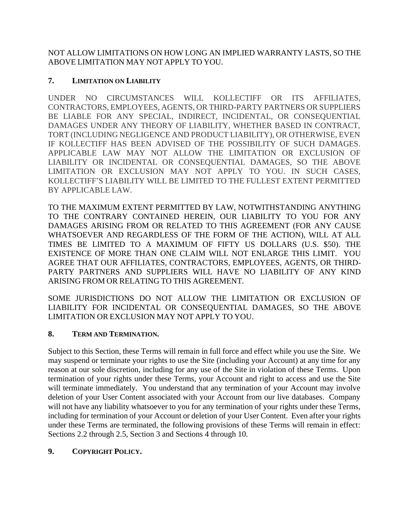NOT ALLOW LIMITATIONS ON HOW LONG AN IMPLIED WARRANTY LASTS, SO THE ABOVE LIMITATION MAY NOT APPLY TO YOU.

## **7. LIMITATION ON LIABILITY**

UNDER NO CIRCUMSTANCES WILL KOLLECTIFF OR ITS AFFILIATES, CONTRACTORS, EMPLOYEES, AGENTS, OR THIRD-PARTY PARTNERS OR SUPPLIERS BE LIABLE FOR ANY SPECIAL, INDIRECT, INCIDENTAL, OR CONSEQUENTIAL DAMAGES UNDER ANY THEORY OF LIABILITY, WHETHER BASED IN CONTRACT, TORT (INCLUDING NEGLIGENCE AND PRODUCT LIABILITY), OR OTHERWISE, EVEN IF KOLLECTIFF HAS BEEN ADVISED OF THE POSSIBILITY OF SUCH DAMAGES. APPLICABLE LAW MAY NOT ALLOW THE LIMITATION OR EXCLUSION OF LIABILITY OR INCIDENTAL OR CONSEQUENTIAL DAMAGES, SO THE ABOVE LIMITATION OR EXCLUSION MAY NOT APPLY TO YOU. IN SUCH CASES, KOLLECTIFF'S LIABILITY WILL BE LIMITED TO THE FULLEST EXTENT PERMITTED BY APPLICABLE LAW.

TO THE MAXIMUM EXTENT PERMITTED BY LAW, NOTWITHSTANDING ANYTHING TO THE CONTRARY CONTAINED HEREIN, OUR LIABILITY TO YOU FOR ANY DAMAGES ARISING FROM OR RELATED TO THIS AGREEMENT (FOR ANY CAUSE WHATSOEVER AND REGARDLESS OF THE FORM OF THE ACTION), WILL AT ALL TIMES BE LIMITED TO A MAXIMUM OF FIFTY US DOLLARS (U.S. \$50). THE EXISTENCE OF MORE THAN ONE CLAIM WILL NOT ENLARGE THIS LIMIT. YOU AGREE THAT OUR AFFILIATES, CONTRACTORS, EMPLOYEES, AGENTS, OR THIRD-PARTY PARTNERS AND SUPPLIERS WILL HAVE NO LIABILITY OF ANY KIND ARISING FROM OR RELATING TO THIS AGREEMENT.

SOME JURISDICTIONS DO NOT ALLOW THE LIMITATION OR EXCLUSION OF LIABILITY FOR INCIDENTAL OR CONSEQUENTIAL DAMAGES, SO THE ABOVE LIMITATION OR EXCLUSION MAY NOT APPLY TO YOU.

## <span id="page-5-0"></span>**8. TERM AND TERMINATION.**

Subject to this Section, these Terms will remain in full force and effect while you use the Site. We may suspend or terminate your rights to use the Site (including your Account) at any time for any reason at our sole discretion, including for any use of the Site in violation of these Terms. Upon termination of your rights under these Terms, your Account and right to access and use the Site will terminate immediately. You understand that any termination of your Account may involve deletion of your User Content associated with your Account from our live databases. Company will not have any liability whatsoever to you for any termination of your rights under these Terms, including for termination of your Account or deletion of your User Content. Even after your rights under these Terms are terminated, the following provisions of these Terms will remain in effect: Sections [2.2](#page-1-1) through [2.5,](#page-2-1) Section 3 and Sections 4 through 10.

## **9. COPYRIGHT POLICY.**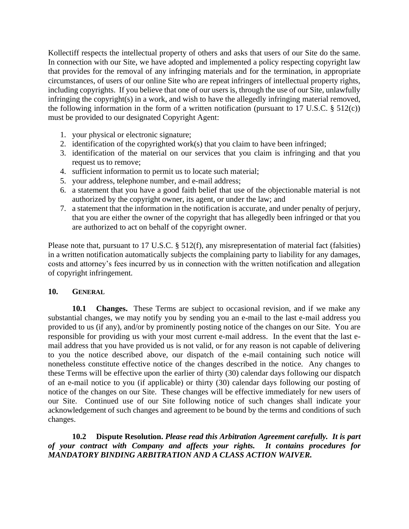Kollectiff respects the intellectual property of others and asks that users of our Site do the same. In connection with our Site, we have adopted and implemented a policy respecting copyright law that provides for the removal of any infringing materials and for the termination, in appropriate circumstances, of users of our online Site who are repeat infringers of intellectual property rights, including copyrights. If you believe that one of our users is, through the use of our Site, unlawfully infringing the copyright(s) in a work, and wish to have the allegedly infringing material removed, the following information in the form of a written notification (pursuant to 17 U.S.C.  $\S$  512(c)) must be provided to our designated Copyright Agent:

- 1. your physical or electronic signature;
- 2. identification of the copyrighted work(s) that you claim to have been infringed;
- 3. identification of the material on our services that you claim is infringing and that you request us to remove;
- 4. sufficient information to permit us to locate such material;
- 5. your address, telephone number, and e-mail address;
- 6. a statement that you have a good faith belief that use of the objectionable material is not authorized by the copyright owner, its agent, or under the law; and
- 7. a statement that the information in the notification is accurate, and under penalty of perjury, that you are either the owner of the copyright that has allegedly been infringed or that you are authorized to act on behalf of the copyright owner.

Please note that, pursuant to 17 U.S.C. § 512(f), any misrepresentation of material fact (falsities) in a written notification automatically subjects the complaining party to liability for any damages, costs and attorney's fees incurred by us in connection with the written notification and allegation of copyright infringement.

#### **10. GENERAL**

**10.1 Changes.** These Terms are subject to occasional revision, and if we make any substantial changes, we may notify you by sending you an e-mail to the last e-mail address you provided to us (if any), and/or by prominently posting notice of the changes on our Site. You are responsible for providing us with your most current e-mail address. In the event that the last email address that you have provided us is not valid, or for any reason is not capable of delivering to you the notice described above, our dispatch of the e-mail containing such notice will nonetheless constitute effective notice of the changes described in the notice. Any changes to these Terms will be effective upon the earlier of thirty (30) calendar days following our dispatch of an e-mail notice to you (if applicable) or thirty (30) calendar days following our posting of notice of the changes on our Site. These changes will be effective immediately for new users of our Site. Continued use of our Site following notice of such changes shall indicate your acknowledgement of such changes and agreement to be bound by the terms and conditions of such changes.

**10.2 Dispute Resolution.** *Please read this Arbitration Agreement carefully. It is part of your contract with Company and affects your rights. It contains procedures for MANDATORY BINDING ARBITRATION AND A CLASS ACTION WAIVER.*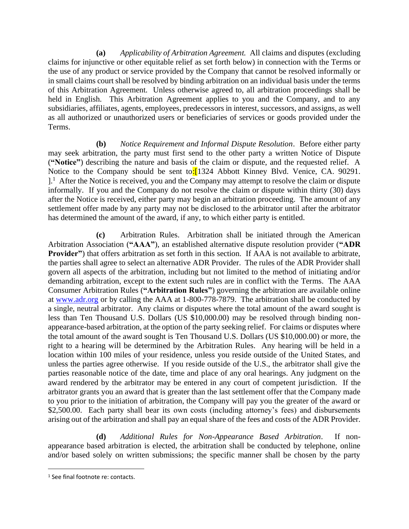**(a)** *Applicability of Arbitration Agreement.* All claims and disputes (excluding claims for injunctive or other equitable relief as set forth below) in connection with the Terms or the use of any product or service provided by the Company that cannot be resolved informally or in small claims court shall be resolved by binding arbitration on an individual basis under the terms of this Arbitration Agreement. Unless otherwise agreed to, all arbitration proceedings shall be held in English. This Arbitration Agreement applies to you and the Company, and to any subsidiaries, affiliates, agents, employees, predecessors in interest, successors, and assigns, as well as all authorized or unauthorized users or beneficiaries of services or goods provided under the Terms.

**(b)** *Notice Requirement and Informal Dispute Resolution*. Before either party may seek arbitration, the party must first send to the other party a written Notice of Dispute (**"Notice"**) describing the nature and basis of the claim or dispute, and the requested relief. A Notice to the Company should be sent to:<sup>[1324]</sup> Abbott Kinney Blvd. Venice, CA. 90291.  $l<sup>1</sup>$ . After the Notice is received, you and the Company may attempt to resolve the claim or dispute informally. If you and the Company do not resolve the claim or dispute within thirty (30) days after the Notice is received, either party may begin an arbitration proceeding. The amount of any settlement offer made by any party may not be disclosed to the arbitrator until after the arbitrator has determined the amount of the award, if any, to which either party is entitled.

**(c)** Arbitration Rules. Arbitration shall be initiated through the American Arbitration Association (**"AAA"**), an established alternative dispute resolution provider (**"ADR Provider"**) that offers arbitration as set forth in this section. If AAA is not available to arbitrate, the parties shall agree to select an alternative ADR Provider. The rules of the ADR Provider shall govern all aspects of the arbitration, including but not limited to the method of initiating and/or demanding arbitration, except to the extent such rules are in conflict with the Terms. The AAA Consumer Arbitration Rules (**"Arbitration Rules"**) governing the arbitration are available online at [www.adr.org](http://www.adr.org/) or by calling the AAA at 1-800-778-7879. The arbitration shall be conducted by a single, neutral arbitrator. Any claims or disputes where the total amount of the award sought is less than Ten Thousand U.S. Dollars (US \$10,000.00) may be resolved through binding nonappearance-based arbitration, at the option of the party seeking relief. For claims or disputes where the total amount of the award sought is Ten Thousand U.S. Dollars (US \$10,000.00) or more, the right to a hearing will be determined by the Arbitration Rules. Any hearing will be held in a location within 100 miles of your residence, unless you reside outside of the United States, and unless the parties agree otherwise. If you reside outside of the U.S., the arbitrator shall give the parties reasonable notice of the date, time and place of any oral hearings. Any judgment on the award rendered by the arbitrator may be entered in any court of competent jurisdiction. If the arbitrator grants you an award that is greater than the last settlement offer that the Company made to you prior to the initiation of arbitration, the Company will pay you the greater of the award or \$2,500.00. Each party shall bear its own costs (including attorney's fees) and disbursements arising out of the arbitration and shall pay an equal share of the fees and costs of the ADR Provider.

**(d)** *Additional Rules for Non-Appearance Based Arbitration*. If nonappearance based arbitration is elected, the arbitration shall be conducted by telephone, online and/or based solely on written submissions; the specific manner shall be chosen by the party

<sup>&</sup>lt;sup>1</sup> See final footnote re: contacts.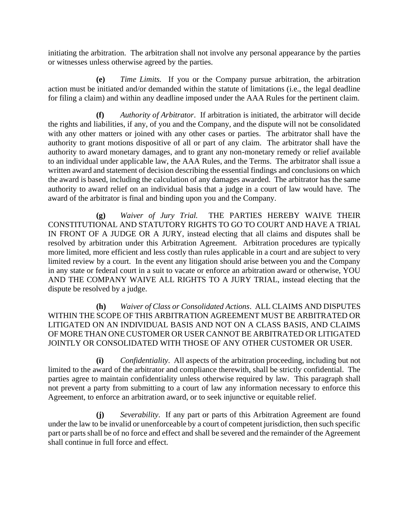initiating the arbitration. The arbitration shall not involve any personal appearance by the parties or witnesses unless otherwise agreed by the parties.

**(e)** *Time Limits.* If you or the Company pursue arbitration, the arbitration action must be initiated and/or demanded within the statute of limitations (i.e., the legal deadline for filing a claim) and within any deadline imposed under the AAA Rules for the pertinent claim.

**(f)** *Authority of Arbitrator*. If arbitration is initiated, the arbitrator will decide the rights and liabilities, if any, of you and the Company, and the dispute will not be consolidated with any other matters or joined with any other cases or parties. The arbitrator shall have the authority to grant motions dispositive of all or part of any claim. The arbitrator shall have the authority to award monetary damages, and to grant any non-monetary remedy or relief available to an individual under applicable law, the AAA Rules, and the Terms. The arbitrator shall issue a written award and statement of decision describing the essential findings and conclusions on which the award is based, including the calculation of any damages awarded. The arbitrator has the same authority to award relief on an individual basis that a judge in a court of law would have. The award of the arbitrator is final and binding upon you and the Company.

**(g)** *Waiver of Jury Trial.* THE PARTIES HEREBY WAIVE THEIR CONSTITUTIONAL AND STATUTORY RIGHTS TO GO TO COURT AND HAVE A TRIAL IN FRONT OF A JUDGE OR A JURY, instead electing that all claims and disputes shall be resolved by arbitration under this Arbitration Agreement. Arbitration procedures are typically more limited, more efficient and less costly than rules applicable in a court and are subject to very limited review by a court. In the event any litigation should arise between you and the Company in any state or federal court in a suit to vacate or enforce an arbitration award or otherwise, YOU AND THE COMPANY WAIVE ALL RIGHTS TO A JURY TRIAL, instead electing that the dispute be resolved by a judge.

**(h)** *Waiver of Class or Consolidated Actions*. ALL CLAIMS AND DISPUTES WITHIN THE SCOPE OF THIS ARBITRATION AGREEMENT MUST BE ARBITRATED OR LITIGATED ON AN INDIVIDUAL BASIS AND NOT ON A CLASS BASIS, AND CLAIMS OF MORE THAN ONE CUSTOMER OR USER CANNOT BE ARBITRATED OR LITIGATED JOINTLY OR CONSOLIDATED WITH THOSE OF ANY OTHER CUSTOMER OR USER.

**(i)** *Confidentiality*. All aspects of the arbitration proceeding, including but not limited to the award of the arbitrator and compliance therewith, shall be strictly confidential. The parties agree to maintain confidentiality unless otherwise required by law. This paragraph shall not prevent a party from submitting to a court of law any information necessary to enforce this Agreement, to enforce an arbitration award, or to seek injunctive or equitable relief.

**(j)** *Severability*. If any part or parts of this Arbitration Agreement are found under the law to be invalid or unenforceable by a court of competent jurisdiction, then such specific part or parts shall be of no force and effect and shall be severed and the remainder of the Agreement shall continue in full force and effect.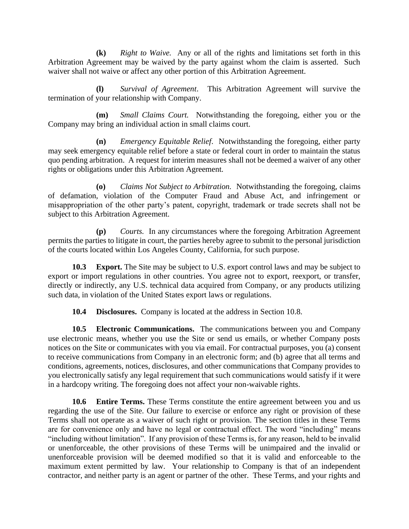**(k)** *Right to Waive.* Any or all of the rights and limitations set forth in this Arbitration Agreement may be waived by the party against whom the claim is asserted. Such waiver shall not waive or affect any other portion of this Arbitration Agreement.

**(l)** *Survival of Agreement*. This Arbitration Agreement will survive the termination of your relationship with Company.

**(m)** *Small Claims Court.* Notwithstanding the foregoing, either you or the Company may bring an individual action in small claims court.

**(n)** *Emergency Equitable Relief*. Notwithstanding the foregoing, either party may seek emergency equitable relief before a state or federal court in order to maintain the status quo pending arbitration. A request for interim measures shall not be deemed a waiver of any other rights or obligations under this Arbitration Agreement.

**(o)** *Claims Not Subject to Arbitration.* Notwithstanding the foregoing, claims of defamation, violation of the Computer Fraud and Abuse Act, and infringement or misappropriation of the other party's patent, copyright, trademark or trade secrets shall not be subject to this Arbitration Agreement.

**(p)** *Courts.* In any circumstances where the foregoing Arbitration Agreement permits the parties to litigate in court, the parties hereby agree to submit to the personal jurisdiction of the courts located within Los Angeles County, California, for such purpose.

**10.3 Export.** The Site may be subject to U.S. export control laws and may be subject to export or import regulations in other countries. You agree not to export, reexport, or transfer, directly or indirectly, any U.S. technical data acquired from Company, or any products utilizing such data, in violation of the United States export laws or regulations.

**10.4 Disclosures.** Company is located at the address in Section 10.8.

**10.5 Electronic Communications.** The communications between you and Company use electronic means, whether you use the Site or send us emails, or whether Company posts notices on the Site or communicates with you via email. For contractual purposes, you (a) consent to receive communications from Company in an electronic form; and (b) agree that all terms and conditions, agreements, notices, disclosures, and other communications that Company provides to you electronically satisfy any legal requirement that such communications would satisfy if it were in a hardcopy writing. The foregoing does not affect your non-waivable rights.

**10.6 Entire Terms.** These Terms constitute the entire agreement between you and us regarding the use of the Site. Our failure to exercise or enforce any right or provision of these Terms shall not operate as a waiver of such right or provision. The section titles in these Terms are for convenience only and have no legal or contractual effect. The word "including" means "including without limitation". If any provision of these Terms is, for any reason, held to be invalid or unenforceable, the other provisions of these Terms will be unimpaired and the invalid or unenforceable provision will be deemed modified so that it is valid and enforceable to the maximum extent permitted by law. Your relationship to Company is that of an independent contractor, and neither party is an agent or partner of the other. These Terms, and your rights and